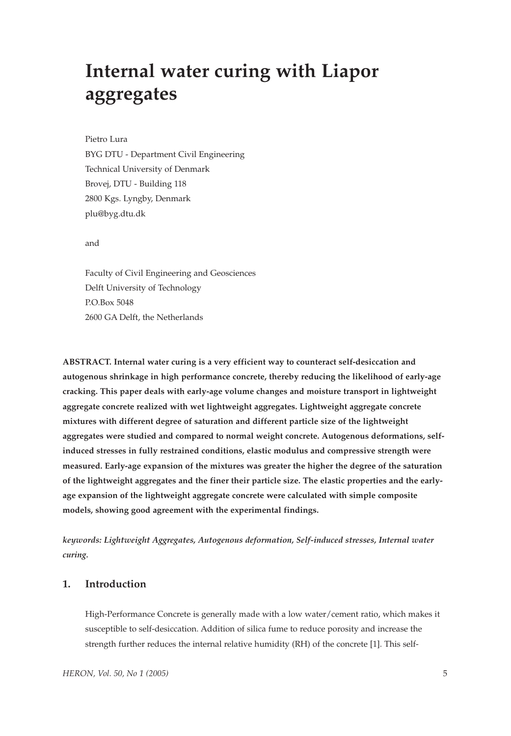# **Internal water curing with Liapor aggregates**

Pietro Lura

BYG DTU - Department Civil Engineering Technical University of Denmark Brovej, DTU - Building 118 2800 Kgs. Lyngby, Denmark plu@byg.dtu.dk

and

Faculty of Civil Engineering and Geosciences Delft University of Technology P.O.Box 5048 2600 GA Delft, the Netherlands

**ABSTRACT. Internal water curing is a very efficient way to counteract self-desiccation and autogenous shrinkage in high performance concrete, thereby reducing the likelihood of early-age cracking. This paper deals with early-age volume changes and moisture transport in lightweight aggregate concrete realized with wet lightweight aggregates. Lightweight aggregate concrete mixtures with different degree of saturation and different particle size of the lightweight aggregates were studied and compared to normal weight concrete. Autogenous deformations, selfinduced stresses in fully restrained conditions, elastic modulus and compressive strength were measured. Early-age expansion of the mixtures was greater the higher the degree of the saturation of the lightweight aggregates and the finer their particle size. The elastic properties and the earlyage expansion of the lightweight aggregate concrete were calculated with simple composite models, showing good agreement with the experimental findings.**

*keywords: Lightweight Aggregates, Autogenous deformation, Self-induced stresses, Internal water curing.*

## **1. Introduction**

High-Performance Concrete is generally made with a low water/cement ratio, which makes it susceptible to self-desiccation. Addition of silica fume to reduce porosity and increase the strength further reduces the internal relative humidity (RH) of the concrete [1]. This self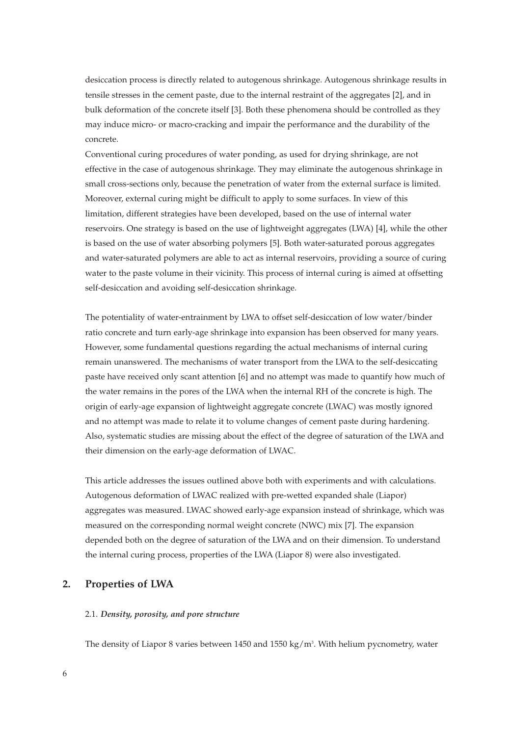desiccation process is directly related to autogenous shrinkage. Autogenous shrinkage results in tensile stresses in the cement paste, due to the internal restraint of the aggregates [2], and in bulk deformation of the concrete itself [3]. Both these phenomena should be controlled as they may induce micro- or macro-cracking and impair the performance and the durability of the concrete.

Conventional curing procedures of water ponding, as used for drying shrinkage, are not effective in the case of autogenous shrinkage. They may eliminate the autogenous shrinkage in small cross-sections only, because the penetration of water from the external surface is limited. Moreover, external curing might be difficult to apply to some surfaces. In view of this limitation, different strategies have been developed, based on the use of internal water reservoirs. One strategy is based on the use of lightweight aggregates (LWA) [4], while the other is based on the use of water absorbing polymers [5]. Both water-saturated porous aggregates and water-saturated polymers are able to act as internal reservoirs, providing a source of curing water to the paste volume in their vicinity. This process of internal curing is aimed at offsetting self-desiccation and avoiding self-desiccation shrinkage.

The potentiality of water-entrainment by LWA to offset self-desiccation of low water/binder ratio concrete and turn early-age shrinkage into expansion has been observed for many years. However, some fundamental questions regarding the actual mechanisms of internal curing remain unanswered. The mechanisms of water transport from the LWA to the self-desiccating paste have received only scant attention [6] and no attempt was made to quantify how much of the water remains in the pores of the LWA when the internal RH of the concrete is high. The origin of early-age expansion of lightweight aggregate concrete (LWAC) was mostly ignored and no attempt was made to relate it to volume changes of cement paste during hardening. Also, systematic studies are missing about the effect of the degree of saturation of the LWA and their dimension on the early-age deformation of LWAC.

This article addresses the issues outlined above both with experiments and with calculations. Autogenous deformation of LWAC realized with pre-wetted expanded shale (Liapor) aggregates was measured. LWAC showed early-age expansion instead of shrinkage, which was measured on the corresponding normal weight concrete (NWC) mix [7]. The expansion depended both on the degree of saturation of the LWA and on their dimension. To understand the internal curing process, properties of the LWA (Liapor 8) were also investigated.

# **2. Properties of LWA**

## 2.1. *Density, porosity, and pore structure*

The density of Liapor 8 varies between 1450 and 1550 kg/m3 . With helium pycnometry, water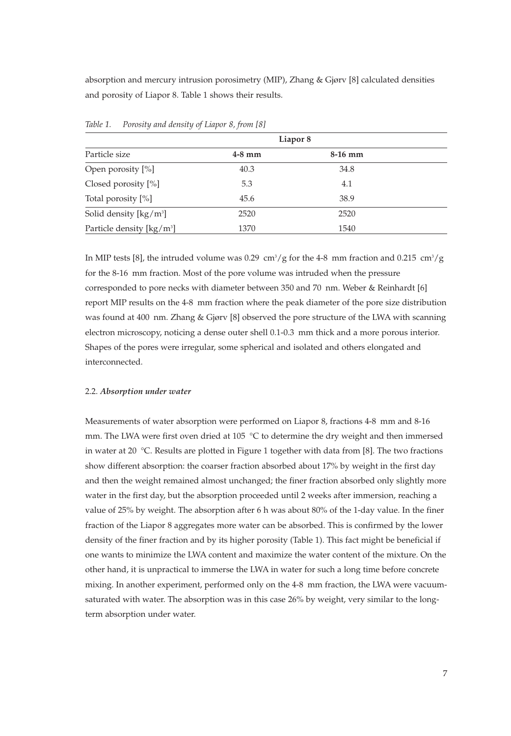absorption and mercury intrusion porosimetry (MIP), Zhang & Gjørv [8] calculated densities and porosity of Liapor 8. Table 1 shows their results.

|                                                       | Liapor 8 |           |  |
|-------------------------------------------------------|----------|-----------|--|
| Particle size                                         | $4-8$ mm | $8-16$ mm |  |
| Open porosity [%]                                     | 40.3     | 34.8      |  |
| Closed porosity $[\%]$                                | 5.3      | 4.1       |  |
| Total porosity [%]                                    | 45.6     | 38.9      |  |
| Solid density $\left[\frac{kg}{m^3}\right]$           | 2520     | 2520      |  |
| Particle density $\lceil \text{kg}/\text{m}^3 \rceil$ | 1370     | 1540      |  |

*Table 1. Porosity and density of Liapor 8, from [8]*

In MIP tests [8], the intruded volume was 0.29  $\rm\ cm^3/g$  for the 4-8  $\rm\ mm$  fraction and 0.215  $\rm\ cm^3/g$ for the 8-16 mm fraction. Most of the pore volume was intruded when the pressure corresponded to pore necks with diameter between 350 and 70 nm. Weber & Reinhardt [6] report MIP results on the 4-8 mm fraction where the peak diameter of the pore size distribution was found at 400 nm. Zhang & Gjørv [8] observed the pore structure of the LWA with scanning electron microscopy, noticing a dense outer shell 0.1-0.3 mm thick and a more porous interior. Shapes of the pores were irregular, some spherical and isolated and others elongated and interconnected.

## 2.2. *Absorption under water*

Measurements of water absorption were performed on Liapor 8, fractions 4-8 mm and 8-16 mm. The LWA were first oven dried at 105 °C to determine the dry weight and then immersed in water at 20 °C. Results are plotted in Figure 1 together with data from [8]. The two fractions show different absorption: the coarser fraction absorbed about 17% by weight in the first day and then the weight remained almost unchanged; the finer fraction absorbed only slightly more water in the first day, but the absorption proceeded until 2 weeks after immersion, reaching a value of 25% by weight. The absorption after 6 h was about 80% of the 1-day value. In the finer fraction of the Liapor 8 aggregates more water can be absorbed. This is confirmed by the lower density of the finer fraction and by its higher porosity (Table 1). This fact might be beneficial if one wants to minimize the LWA content and maximize the water content of the mixture. On the other hand, it is unpractical to immerse the LWA in water for such a long time before concrete mixing. In another experiment, performed only on the 4-8 mm fraction, the LWA were vacuumsaturated with water. The absorption was in this case 26% by weight, very similar to the longterm absorption under water.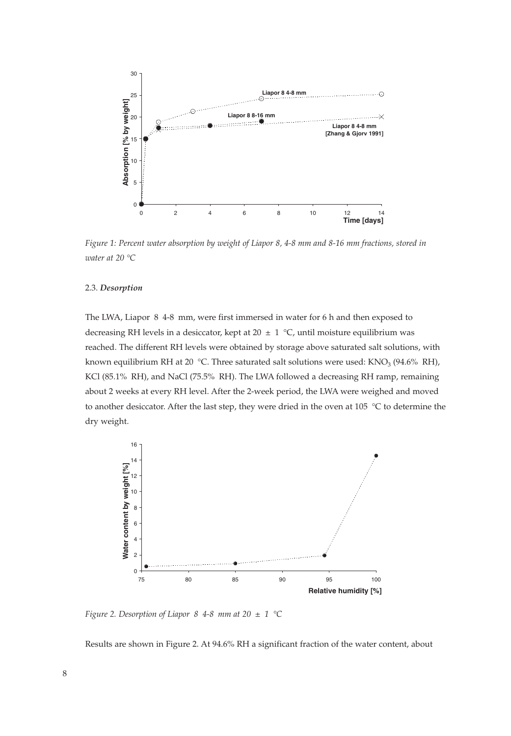

*Figure 1: Percent water absorption by weight of Liapor 8, 4-8 mm and 8-16 mm fractions, stored in water at 20 °C*

## 2.3. *Desorption*

The LWA, Liapor 8 4-8 mm, were first immersed in water for 6 h and then exposed to decreasing RH levels in a desiccator, kept at 20  $\pm$  1 °C, until moisture equilibrium was reached. The different RH levels were obtained by storage above saturated salt solutions, with known equilibrium RH at 20 °C. Three saturated salt solutions were used: KNO<sub>3</sub> (94.6% RH), KCl (85.1% RH), and NaCl (75.5% RH). The LWA followed a decreasing RH ramp, remaining about 2 weeks at every RH level. After the 2-week period, the LWA were weighed and moved to another desiccator. After the last step, they were dried in the oven at 105 °C to determine the dry weight.



*Figure 2. Desorption of Liapor 8 4-8 mm at 20 ± 1 °C*

Results are shown in Figure 2. At 94.6% RH a significant fraction of the water content, about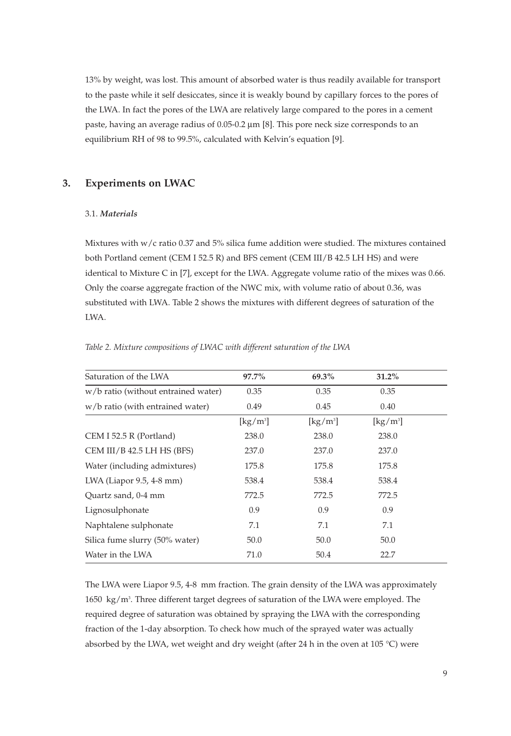13% by weight, was lost. This amount of absorbed water is thus readily available for transport to the paste while it self desiccates, since it is weakly bound by capillary forces to the pores of the LWA. In fact the pores of the LWA are relatively large compared to the pores in a cement paste, having an average radius of 0.05-0.2 µm [8]. This pore neck size corresponds to an equilibrium RH of 98 to 99.5%, calculated with Kelvin's equation [9].

# **3. Experiments on LWAC**

## 3.1. *Materials*

Mixtures with w/c ratio 0.37 and 5% silica fume addition were studied. The mixtures contained both Portland cement (CEM I 52.5 R) and BFS cement (CEM III/B 42.5 LH HS) and were identical to Mixture C in [7], except for the LWA. Aggregate volume ratio of the mixes was 0.66. Only the coarse aggregate fraction of the NWC mix, with volume ratio of about 0.36, was substituted with LWA. Table 2 shows the mixtures with different degrees of saturation of the LWA.

| Saturation of the LWA               | 97.7%                                   | 69.3%                                   | 31.2%                                   |  |
|-------------------------------------|-----------------------------------------|-----------------------------------------|-----------------------------------------|--|
| w/b ratio (without entrained water) | 0.35                                    | 0.35                                    | 0.35                                    |  |
| w/b ratio (with entrained water)    | 0.49                                    | 0.45                                    | 0.40                                    |  |
|                                     | $\left[\mathrm{kg}/\mathrm{m}^3\right]$ | $\left[\mathrm{kg}/\mathrm{m}^3\right]$ | $\left[\mathrm{kg}/\mathrm{m}^3\right]$ |  |
| CEM I 52.5 R (Portland)             | 238.0                                   | 238.0                                   | 238.0                                   |  |
| CEM III/B 42.5 LH HS (BFS)          | 237.0                                   | 237.0                                   | 237.0                                   |  |
| Water (including admixtures)        | 175.8                                   | 175.8                                   | 175.8                                   |  |
| LWA (Liapor $9.5$ , $4-8$ mm)       | 538.4                                   | 538.4                                   | 538.4                                   |  |
| Ouartz sand, 0-4 mm                 | 772.5                                   | 772.5                                   | 772.5                                   |  |
| Lignosulphonate                     | 0.9                                     | 0.9                                     | 0.9                                     |  |
| Naphtalene sulphonate               | 7.1                                     | 7.1                                     | 7.1                                     |  |
| Silica fume slurry (50% water)      | 50.0                                    | 50.0                                    | 50.0                                    |  |
| Water in the LWA                    | 71.0                                    | 50.4                                    | 22.7                                    |  |

*Table 2. Mixture compositions of LWAC with different saturation of the LWA*

The LWA were Liapor 9.5, 4-8 mm fraction. The grain density of the LWA was approximately 1650 kg/m3 . Three different target degrees of saturation of the LWA were employed. The required degree of saturation was obtained by spraying the LWA with the corresponding fraction of the 1-day absorption. To check how much of the sprayed water was actually absorbed by the LWA, wet weight and dry weight (after 24 h in the oven at 105 °C) were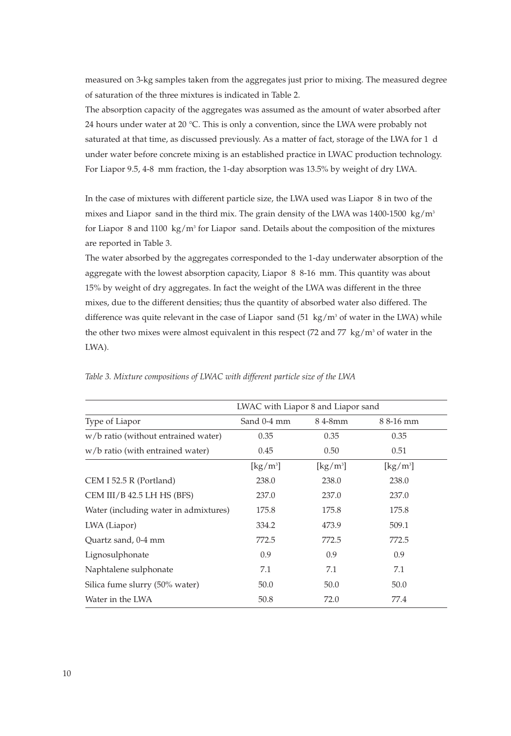measured on 3-kg samples taken from the aggregates just prior to mixing. The measured degree of saturation of the three mixtures is indicated in Table 2.

The absorption capacity of the aggregates was assumed as the amount of water absorbed after 24 hours under water at 20  $^{\circ}$ C. This is only a convention, since the LWA were probably not saturated at that time, as discussed previously. As a matter of fact, storage of the LWA for 1 d under water before concrete mixing is an established practice in LWAC production technology. For Liapor 9.5, 4-8 mm fraction, the 1-day absorption was 13.5% by weight of dry LWA.

In the case of mixtures with different particle size, the LWA used was Liapor 8 in two of the mixes and Liapor sand in the third mix. The grain density of the LWA was 1400-1500 kg/m<sup>3</sup> for Liapor 8 and 1100  $\text{kg/m}^3$  for Liapor sand. Details about the composition of the mixtures are reported in Table 3.

The water absorbed by the aggregates corresponded to the 1-day underwater absorption of the aggregate with the lowest absorption capacity, Liapor 8 8-16 mm. This quantity was about 15% by weight of dry aggregates. In fact the weight of the LWA was different in the three mixes, due to the different densities; thus the quantity of absorbed water also differed. The difference was quite relevant in the case of Liapor sand  $(51 \text{ kg/m}^3)$  of water in the LWA) while the other two mixes were almost equivalent in this respect (72 and 77 kg/m<sup>3</sup> of water in the LWA).

|                                       | LWAC with Liapor 8 and Liapor sand      |                                         |                                         |
|---------------------------------------|-----------------------------------------|-----------------------------------------|-----------------------------------------|
| Type of Liapor                        | Sand 0-4 mm                             | 84-8mm                                  | 88-16 mm                                |
| w/b ratio (without entrained water)   | 0.35                                    | 0.35                                    | 0.35                                    |
| w/b ratio (with entrained water)      | 0.45                                    | 0.50                                    | 0.51                                    |
|                                       | $\left[\mathrm{kg}/\mathrm{m}^3\right]$ | $\left[\mathrm{kg}/\mathrm{m}^3\right]$ | $\left[\mathrm{kg}/\mathrm{m}^3\right]$ |
| CEM I 52.5 R (Portland)               | 238.0                                   | 238.0                                   | 238.0                                   |
| CEM III/B 42.5 LH HS (BFS)            | 237.0                                   | 237.0                                   | 237.0                                   |
| Water (including water in admixtures) | 175.8                                   | 175.8                                   | 175.8                                   |
| LWA (Liapor)                          | 334.2                                   | 473.9                                   | 509.1                                   |
| Ouartz sand, 0-4 mm                   | 772.5                                   | 772.5                                   | 772.5                                   |
| Lignosulphonate                       | 0.9                                     | 0.9                                     | 0.9                                     |
| Naphtalene sulphonate                 | 7.1                                     | 7.1                                     | 7.1                                     |
| Silica fume slurry (50% water)        | 50.0                                    | 50.0                                    | 50.0                                    |
| Water in the LWA                      | 50.8                                    | 72.0                                    | 77.4                                    |

*Table 3. Mixture compositions of LWAC with different particle size of the LWA*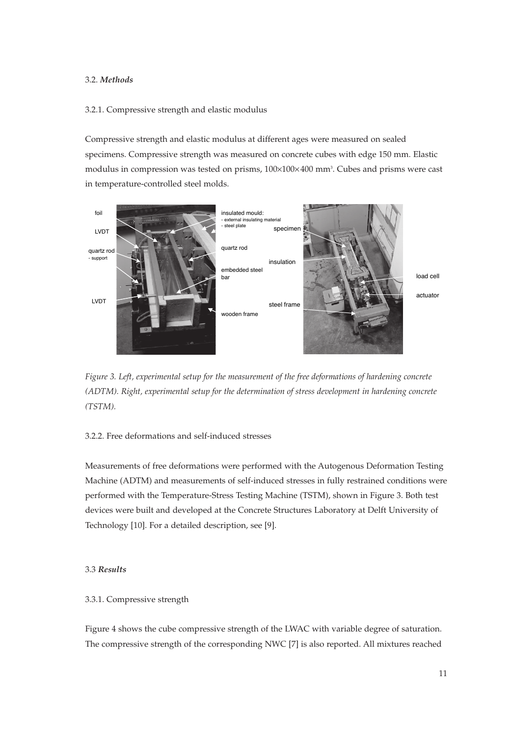## 3.2. *Methods*

### 3.2.1. Compressive strength and elastic modulus

Compressive strength and elastic modulus at different ages were measured on sealed specimens. Compressive strength was measured on concrete cubes with edge 150 mm. Elastic modulus in compression was tested on prisms, 100×100×400 mm3 . Cubes and prisms were cast in temperature-controlled steel molds.



*Figure 3. Left, experimental setup for the measurement of the free deformations of hardening concrete (ADTM). Right, experimental setup for the determination of stress development in hardening concrete (TSTM).*

## 3.2.2. Free deformations and self-induced stresses

Measurements of free deformations were performed with the Autogenous Deformation Testing Machine (ADTM) and measurements of self-induced stresses in fully restrained conditions were performed with the Temperature-Stress Testing Machine (TSTM), shown in Figure 3. Both test devices were built and developed at the Concrete Structures Laboratory at Delft University of Technology [10]. For a detailed description, see [9].

## 3.3 *Results*

## 3.3.1. Compressive strength

Figure 4 shows the cube compressive strength of the LWAC with variable degree of saturation. The compressive strength of the corresponding NWC [7] is also reported. All mixtures reached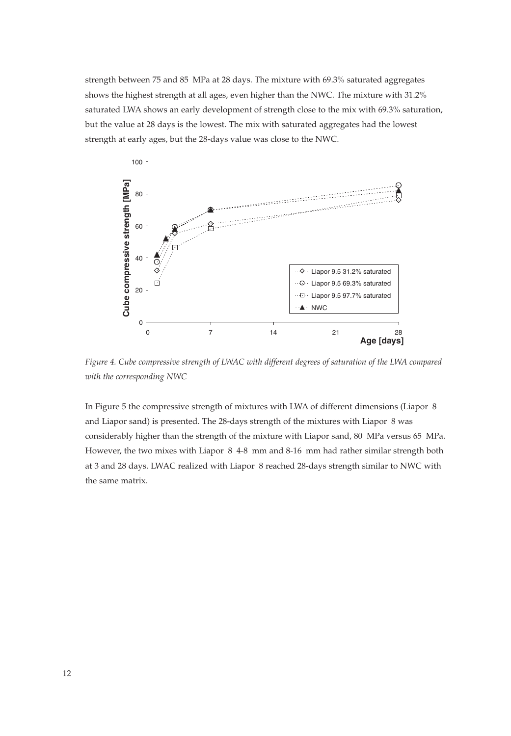strength between 75 and 85 MPa at 28 days. The mixture with 69.3% saturated aggregates shows the highest strength at all ages, even higher than the NWC. The mixture with 31.2% saturated LWA shows an early development of strength close to the mix with 69.3% saturation, but the value at 28 days is the lowest. The mix with saturated aggregates had the lowest strength at early ages, but the 28-days value was close to the NWC.



*Figure 4. Cube compressive strength of LWAC with different degrees of saturation of the LWA compared with the corresponding NWC*

In Figure 5 the compressive strength of mixtures with LWA of different dimensions (Liapor 8 and Liapor sand) is presented. The 28-days strength of the mixtures with Liapor 8 was considerably higher than the strength of the mixture with Liapor sand, 80 MPa versus 65 MPa. However, the two mixes with Liapor 8 4-8 mm and 8-16 mm had rather similar strength both at 3 and 28 days. LWAC realized with Liapor 8 reached 28-days strength similar to NWC with the same matrix.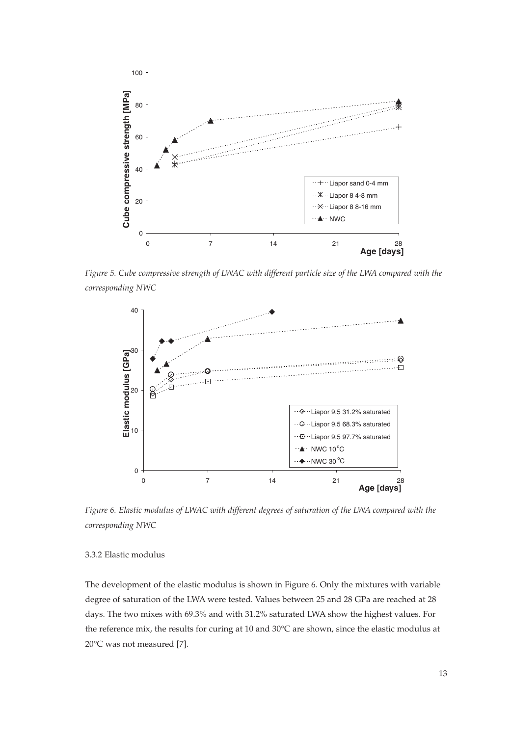

*Figure 5. Cube compressive strength of LWAC with different particle size of the LWA compared with the corresponding NWC*



*Figure 6. Elastic modulus of LWAC with different degrees of saturation of the LWA compared with the corresponding NWC*

## 3.3.2 Elastic modulus

The development of the elastic modulus is shown in Figure 6. Only the mixtures with variable degree of saturation of the LWA were tested. Values between 25 and 28 GPa are reached at 28 days. The two mixes with 69.3% and with 31.2% saturated LWA show the highest values. For the reference mix, the results for curing at 10 and 30°C are shown, since the elastic modulus at 20°C was not measured [7].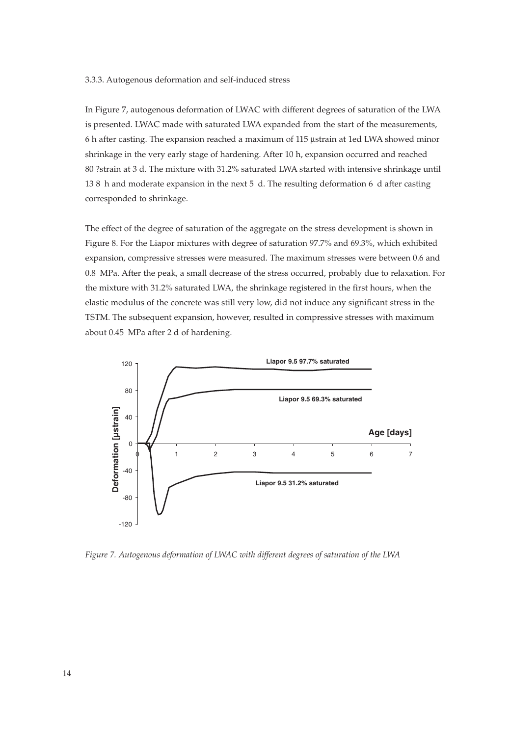#### 3.3.3. Autogenous deformation and self-induced stress

In Figure 7, autogenous deformation of LWAC with different degrees of saturation of the LWA is presented. LWAC made with saturated LWA expanded from the start of the measurements, 6 h after casting. The expansion reached a maximum of 115 µstrain at 1ed LWA showed minor shrinkage in the very early stage of hardening. After 10 h, expansion occurred and reached 80 ?strain at 3 d. The mixture with 31.2% saturated LWA started with intensive shrinkage until 13 8 h and moderate expansion in the next 5 d. The resulting deformation 6 d after casting corresponded to shrinkage.

The effect of the degree of saturation of the aggregate on the stress development is shown in Figure 8. For the Liapor mixtures with degree of saturation 97.7% and 69.3%, which exhibited expansion, compressive stresses were measured. The maximum stresses were between 0.6 and 0.8 MPa. After the peak, a small decrease of the stress occurred, probably due to relaxation. For the mixture with 31.2% saturated LWA, the shrinkage registered in the first hours, when the elastic modulus of the concrete was still very low, did not induce any significant stress in the TSTM. The subsequent expansion, however, resulted in compressive stresses with maximum about 0.45 MPa after 2 d of hardening.



*Figure 7. Autogenous deformation of LWAC with different degrees of saturation of the LWA*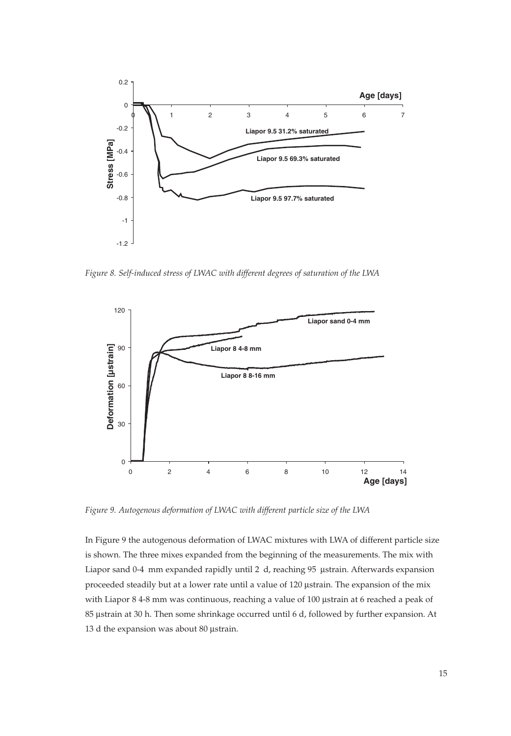

*Figure 8. Self-induced stress of LWAC with different degrees of saturation of the LWA*



*Figure 9. Autogenous deformation of LWAC with different particle size of the LWA*

In Figure 9 the autogenous deformation of LWAC mixtures with LWA of different particle size is shown. The three mixes expanded from the beginning of the measurements. The mix with Liapor sand 0-4 mm expanded rapidly until 2 d, reaching 95 µstrain. Afterwards expansion proceeded steadily but at a lower rate until a value of 120 µstrain. The expansion of the mix with Liapor 8 4-8 mm was continuous, reaching a value of 100 µstrain at 6 reached a peak of 85 µstrain at 30 h. Then some shrinkage occurred until 6 d, followed by further expansion. At 13 d the expansion was about 80 µstrain.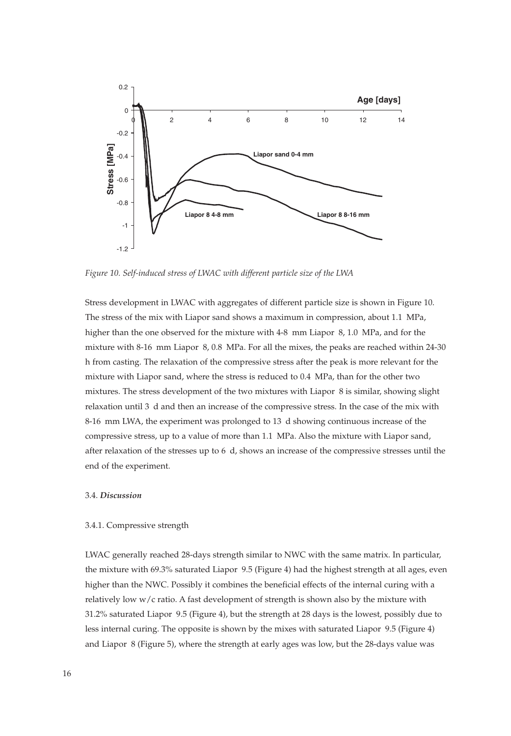

*Figure 10. Self-induced stress of LWAC with different particle size of the LWA*

Stress development in LWAC with aggregates of different particle size is shown in Figure 10. The stress of the mix with Liapor sand shows a maximum in compression, about 1.1 MPa, higher than the one observed for the mixture with 4-8 mm Liapor 8, 1.0 MPa, and for the mixture with 8-16 mm Liapor 8, 0.8 MPa. For all the mixes, the peaks are reached within 24-30 h from casting. The relaxation of the compressive stress after the peak is more relevant for the mixture with Liapor sand, where the stress is reduced to 0.4 MPa, than for the other two mixtures. The stress development of the two mixtures with Liapor 8 is similar, showing slight relaxation until 3 d and then an increase of the compressive stress. In the case of the mix with 8-16 mm LWA, the experiment was prolonged to 13 d showing continuous increase of the compressive stress, up to a value of more than 1.1 MPa. Also the mixture with Liapor sand, after relaxation of the stresses up to 6 d, shows an increase of the compressive stresses until the end of the experiment.

## 3.4. *Discussion*

## 3.4.1. Compressive strength

LWAC generally reached 28-days strength similar to NWC with the same matrix. In particular, the mixture with 69.3% saturated Liapor 9.5 (Figure 4) had the highest strength at all ages, even higher than the NWC. Possibly it combines the beneficial effects of the internal curing with a relatively low w/c ratio. A fast development of strength is shown also by the mixture with 31.2% saturated Liapor 9.5 (Figure 4), but the strength at 28 days is the lowest, possibly due to less internal curing. The opposite is shown by the mixes with saturated Liapor 9.5 (Figure 4) and Liapor 8 (Figure 5), where the strength at early ages was low, but the 28-days value was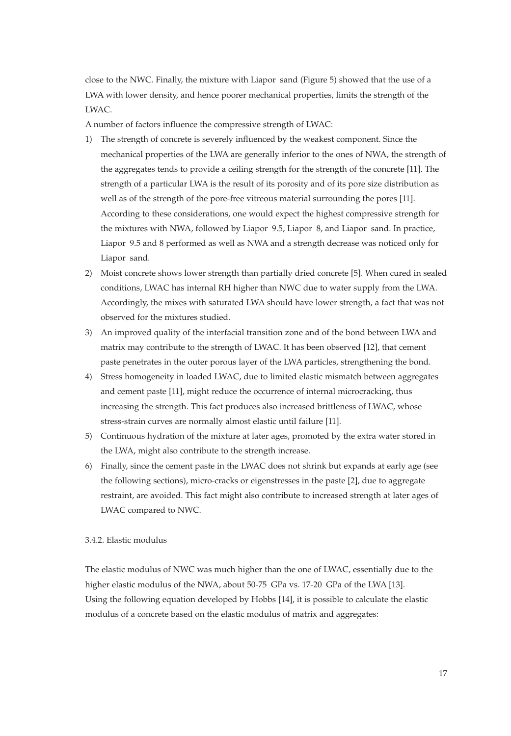close to the NWC. Finally, the mixture with Liapor sand (Figure 5) showed that the use of a LWA with lower density, and hence poorer mechanical properties, limits the strength of the LWAC.

A number of factors influence the compressive strength of LWAC:

- 1) The strength of concrete is severely influenced by the weakest component. Since the mechanical properties of the LWA are generally inferior to the ones of NWA, the strength of the aggregates tends to provide a ceiling strength for the strength of the concrete [11]. The strength of a particular LWA is the result of its porosity and of its pore size distribution as well as of the strength of the pore-free vitreous material surrounding the pores [11]. According to these considerations, one would expect the highest compressive strength for the mixtures with NWA, followed by Liapor 9.5, Liapor 8, and Liapor sand. In practice, Liapor 9.5 and 8 performed as well as NWA and a strength decrease was noticed only for Liapor sand.
- 2) Moist concrete shows lower strength than partially dried concrete [5]. When cured in sealed conditions, LWAC has internal RH higher than NWC due to water supply from the LWA. Accordingly, the mixes with saturated LWA should have lower strength, a fact that was not observed for the mixtures studied.
- 3) An improved quality of the interfacial transition zone and of the bond between LWA and matrix may contribute to the strength of LWAC. It has been observed [12], that cement paste penetrates in the outer porous layer of the LWA particles, strengthening the bond.
- 4) Stress homogeneity in loaded LWAC, due to limited elastic mismatch between aggregates and cement paste [11], might reduce the occurrence of internal microcracking, thus increasing the strength. This fact produces also increased brittleness of LWAC, whose stress-strain curves are normally almost elastic until failure [11].
- 5) Continuous hydration of the mixture at later ages, promoted by the extra water stored in the LWA, might also contribute to the strength increase.
- 6) Finally, since the cement paste in the LWAC does not shrink but expands at early age (see the following sections), micro-cracks or eigenstresses in the paste [2], due to aggregate restraint, are avoided. This fact might also contribute to increased strength at later ages of LWAC compared to NWC.

## 3.4.2. Elastic modulus

The elastic modulus of NWC was much higher than the one of LWAC, essentially due to the higher elastic modulus of the NWA, about 50-75 GPa vs. 17-20 GPa of the LWA [13]. Using the following equation developed by Hobbs [14], it is possible to calculate the elastic modulus of a concrete based on the elastic modulus of matrix and aggregates: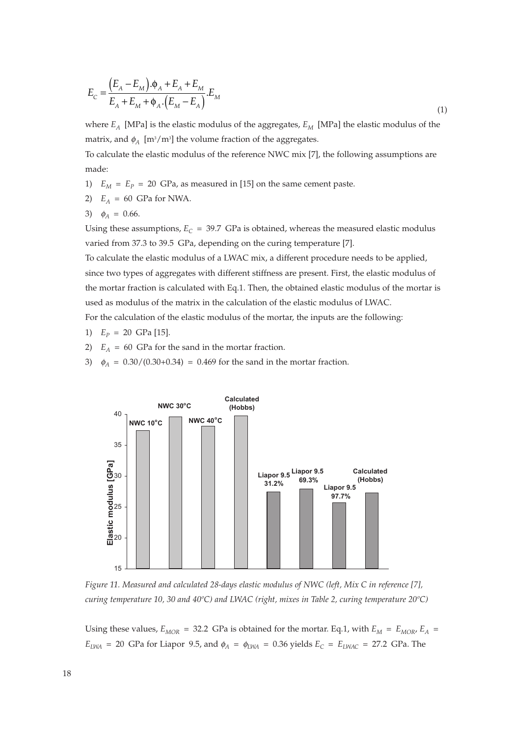$$
E_C = \frac{(E_A - E_M)\cdot \phi_A + E_A + E_M}{E_A + E_M + \phi_A \cdot (E_M - E_A)} \cdot E_M
$$
\n(1)

where  $E_A$  [MPa] is the elastic modulus of the aggregates,  $E_M$  [MPa] the elastic modulus of the matrix, and  $\phi_A$  [m<sup>3</sup>/m<sup>3</sup>] the volume fraction of the aggregates.

To calculate the elastic modulus of the reference NWC mix [7], the following assumptions are made:

- 1)  $E_M = E_P = 20$  GPa, as measured in [15] on the same cement paste.
- 2)  $E_A = 60$  GPa for NWA.
- 3)  $\phi_A = 0.66$ .

Using these assumptions,  $E_C = 39.7$  GPa is obtained, whereas the measured elastic modulus varied from 37.3 to 39.5 GPa, depending on the curing temperature [7].

To calculate the elastic modulus of a LWAC mix, a different procedure needs to be applied, since two types of aggregates with different stiffness are present. First, the elastic modulus of the mortar fraction is calculated with Eq.1. Then, the obtained elastic modulus of the mortar is used as modulus of the matrix in the calculation of the elastic modulus of LWAC.

For the calculation of the elastic modulus of the mortar, the inputs are the following:

- 1) *EP* = 20 GPa [15].
- 2)  $E_A = 60$  GPa for the sand in the mortar fraction.
- 3)  $\phi_A = 0.30/(0.30+0.34) = 0.469$  for the sand in the mortar fraction.



*Figure 11. Measured and calculated 28-days elastic modulus of NWC (left, Mix C in reference [7], curing temperature 10, 30 and 40ºC) and LWAC (right, mixes in Table 2, curing temperature 20ºC)*

Using these values,  $E_{MOR}$  = 32.2 GPa is obtained for the mortar. Eq.1, with  $E_M = E_{MOR}$ ,  $E_A$  = *E<sub>LWA</sub>* = 20 GPa for Liapor 9.5, and  $\phi_A = \phi_{LWA} = 0.36$  yields  $E_C = E_{LWAC} = 27.2$  GPa. The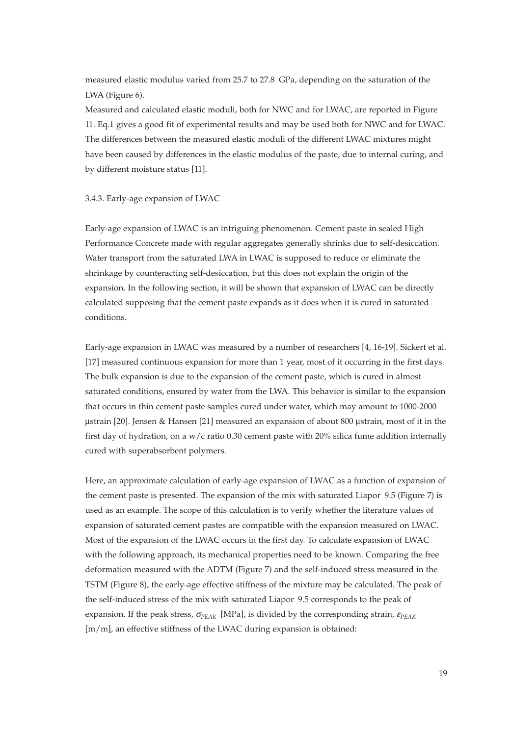measured elastic modulus varied from 25.7 to 27.8 GPa, depending on the saturation of the LWA (Figure 6).

Measured and calculated elastic moduli, both for NWC and for LWAC, are reported in Figure 11. Eq.1 gives a good fit of experimental results and may be used both for NWC and for LWAC. The differences between the measured elastic moduli of the different LWAC mixtures might have been caused by differences in the elastic modulus of the paste, due to internal curing, and by different moisture status [11].

#### 3.4.3. Early-age expansion of LWAC

Early-age expansion of LWAC is an intriguing phenomenon. Cement paste in sealed High Performance Concrete made with regular aggregates generally shrinks due to self-desiccation. Water transport from the saturated LWA in LWAC is supposed to reduce or eliminate the shrinkage by counteracting self-desiccation, but this does not explain the origin of the expansion. In the following section, it will be shown that expansion of LWAC can be directly calculated supposing that the cement paste expands as it does when it is cured in saturated conditions.

Early-age expansion in LWAC was measured by a number of researchers [4, 16-19]. Sickert et al. [17] measured continuous expansion for more than 1 year, most of it occurring in the first days. The bulk expansion is due to the expansion of the cement paste, which is cured in almost saturated conditions, ensured by water from the LWA. This behavior is similar to the expansion that occurs in thin cement paste samples cured under water, which may amount to 1000-2000 µstrain [20]. Jensen & Hansen [21] measured an expansion of about 800 µstrain, most of it in the first day of hydration, on a w/c ratio 0.30 cement paste with 20% silica fume addition internally cured with superabsorbent polymers.

Here, an approximate calculation of early-age expansion of LWAC as a function of expansion of the cement paste is presented. The expansion of the mix with saturated Liapor 9.5 (Figure 7) is used as an example. The scope of this calculation is to verify whether the literature values of expansion of saturated cement pastes are compatible with the expansion measured on LWAC. Most of the expansion of the LWAC occurs in the first day. To calculate expansion of LWAC with the following approach, its mechanical properties need to be known. Comparing the free deformation measured with the ADTM (Figure 7) and the self-induced stress measured in the TSTM (Figure 8), the early-age effective stiffness of the mixture may be calculated. The peak of the self-induced stress of the mix with saturated Liapor 9.5 corresponds to the peak of expansion. If the peak stress, <sup>σ</sup>*PEAK* [MPa], is divided by the corresponding strain, <sup>ε</sup>*PEAK* [m/m], an effective stiffness of the LWAC during expansion is obtained: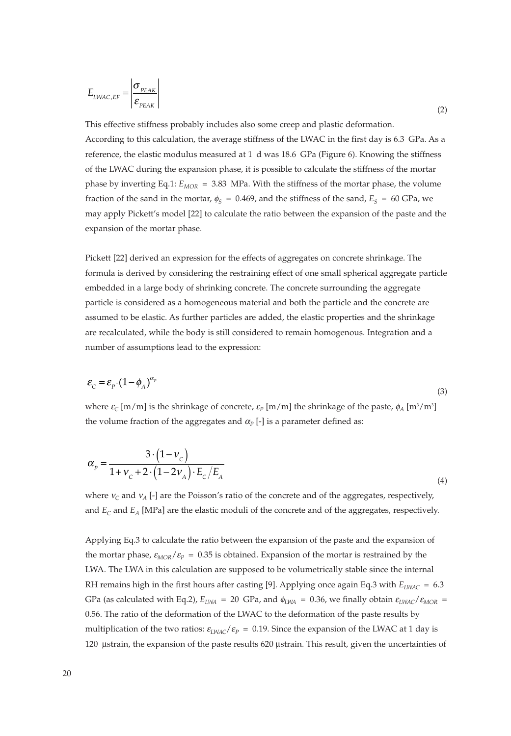$$
E_{\text{LWAC,EF}} = \left| \frac{\sigma_{\text{PEAK}}}{\varepsilon_{\text{PEAK}}} \right| \tag{2}
$$

This effective stiffness probably includes also some creep and plastic deformation. According to this calculation, the average stiffness of the LWAC in the first day is 6.3 GPa. As a reference, the elastic modulus measured at 1 d was 18.6 GPa (Figure 6). Knowing the stiffness of the LWAC during the expansion phase, it is possible to calculate the stiffness of the mortar phase by inverting Eq.1:  $E_{MOR}$  = 3.83 MPa. With the stiffness of the mortar phase, the volume fraction of the sand in the mortar,  $\phi_s = 0.469$ , and the stiffness of the sand,  $E_s = 60 \text{ GPa}$ , we may apply Pickett's model [22] to calculate the ratio between the expansion of the paste and the expansion of the mortar phase.

Pickett [22] derived an expression for the effects of aggregates on concrete shrinkage. The formula is derived by considering the restraining effect of one small spherical aggregate particle embedded in a large body of shrinking concrete. The concrete surrounding the aggregate particle is considered as a homogeneous material and both the particle and the concrete are assumed to be elastic. As further particles are added, the elastic properties and the shrinkage are recalculated, while the body is still considered to remain homogenous. Integration and a number of assumptions lead to the expression:

$$
\varepsilon_{\rm C} = \varepsilon_{\rm P} \cdot \left(1 - \phi_{\rm A}\right)^{\alpha_{\rm P}}\tag{3}
$$

where  $\varepsilon_{\mathcal{C}}$  [m/m] is the shrinkage of concrete*,*  $\varepsilon_{\mathit{P}}$  [m/m] the shrinkage of the paste,  $\phi_{\mathit{A}}$  [m<sup>3</sup>/m<sup>3</sup>] the volume fraction of the aggregates and  $\alpha_p$  [-] is a parameter defined as:

$$
\alpha_p = \frac{3 \cdot (1 - v_c)}{1 + v_c + 2 \cdot (1 - 2v_A) \cdot E_c / E_A}
$$
\n(4)

where <sup>ν</sup>*<sup>C</sup>* and <sup>ν</sup>*<sup>A</sup>* [-] are the Poisson's ratio of the concrete and of the aggregates, respectively, and  $E_c$  and  $E_A$  [MPa] are the elastic moduli of the concrete and of the aggregates, respectively.

Applying Eq.3 to calculate the ratio between the expansion of the paste and the expansion of the mortar phase,  $\varepsilon_{MOR}/\varepsilon_p = 0.35$  is obtained. Expansion of the mortar is restrained by the LWA. The LWA in this calculation are supposed to be volumetrically stable since the internal RH remains high in the first hours after casting [9]. Applying once again Eq.3 with  $E_{LWAC} = 6.3$ GPa (as calculated with Eq.2),  $E_{IWA} = 20$  GPa, and  $\phi_{IWA} = 0.36$ , we finally obtain  $\varepsilon_{IWAC}/\varepsilon_{MOR} =$ 0.56. The ratio of the deformation of the LWAC to the deformation of the paste results by multiplication of the two ratios:  $\varepsilon_{LWAC}/\varepsilon_P = 0.19$ . Since the expansion of the LWAC at 1 day is 120 µstrain, the expansion of the paste results 620 µstrain. This result, given the uncertainties of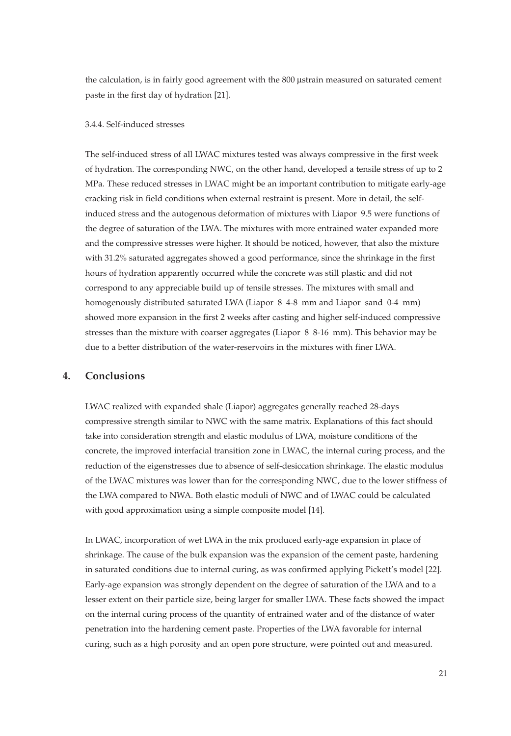the calculation, is in fairly good agreement with the 800 µstrain measured on saturated cement paste in the first day of hydration [21].

## 3.4.4. Self-induced stresses

The self-induced stress of all LWAC mixtures tested was always compressive in the first week of hydration. The corresponding NWC, on the other hand, developed a tensile stress of up to 2 MPa. These reduced stresses in LWAC might be an important contribution to mitigate early-age cracking risk in field conditions when external restraint is present. More in detail, the selfinduced stress and the autogenous deformation of mixtures with Liapor 9.5 were functions of the degree of saturation of the LWA. The mixtures with more entrained water expanded more and the compressive stresses were higher. It should be noticed, however, that also the mixture with 31.2% saturated aggregates showed a good performance, since the shrinkage in the first hours of hydration apparently occurred while the concrete was still plastic and did not correspond to any appreciable build up of tensile stresses. The mixtures with small and homogenously distributed saturated LWA (Liapor 8 4-8 mm and Liapor sand 0-4 mm) showed more expansion in the first 2 weeks after casting and higher self-induced compressive stresses than the mixture with coarser aggregates (Liapor 8 8-16 mm). This behavior may be due to a better distribution of the water-reservoirs in the mixtures with finer LWA.

# **4. Conclusions**

LWAC realized with expanded shale (Liapor) aggregates generally reached 28-days compressive strength similar to NWC with the same matrix. Explanations of this fact should take into consideration strength and elastic modulus of LWA, moisture conditions of the concrete, the improved interfacial transition zone in LWAC, the internal curing process, and the reduction of the eigenstresses due to absence of self-desiccation shrinkage. The elastic modulus of the LWAC mixtures was lower than for the corresponding NWC, due to the lower stiffness of the LWA compared to NWA. Both elastic moduli of NWC and of LWAC could be calculated with good approximation using a simple composite model [14].

In LWAC, incorporation of wet LWA in the mix produced early-age expansion in place of shrinkage. The cause of the bulk expansion was the expansion of the cement paste, hardening in saturated conditions due to internal curing, as was confirmed applying Pickett's model [22]. Early-age expansion was strongly dependent on the degree of saturation of the LWA and to a lesser extent on their particle size, being larger for smaller LWA. These facts showed the impact on the internal curing process of the quantity of entrained water and of the distance of water penetration into the hardening cement paste. Properties of the LWA favorable for internal curing, such as a high porosity and an open pore structure, were pointed out and measured.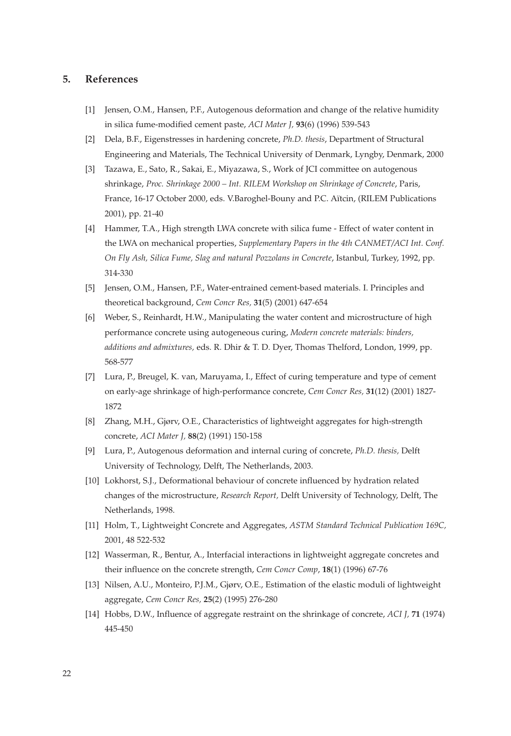## **5. References**

- [1] Jensen, O.M., Hansen, P.F., Autogenous deformation and change of the relative humidity in silica fume-modified cement paste, *ACI Mater J,* **93**(6) (1996) 539-543
- [2] Dela, B.F., Eigenstresses in hardening concrete, *Ph.D. thesis*, Department of Structural Engineering and Materials, The Technical University of Denmark, Lyngby, Denmark, 2000
- [3] Tazawa, E., Sato, R., Sakai, E., Miyazawa, S., Work of JCI committee on autogenous shrinkage, *Proc. Shrinkage 2000 – Int. RILEM Workshop on Shrinkage of Concrete*, Paris, France, 16-17 October 2000, eds. V.Baroghel-Bouny and P.C. Aïtcin, (RILEM Publications 2001), pp. 21-40
- [4] Hammer, T.A., High strength LWA concrete with silica fume Effect of water content in the LWA on mechanical properties, *Supplementary Papers in the 4th CANMET/ACI Int. Conf. On Fly Ash, Silica Fume, Slag and natural Pozzolans in Concrete*, Istanbul, Turkey, 1992, pp. 314-330
- [5] Jensen, O.M., Hansen, P.F., Water-entrained cement-based materials. I. Principles and theoretical background, *Cem Concr Res,* **31**(5) (2001) 647-654
- [6] Weber, S., Reinhardt, H.W., Manipulating the water content and microstructure of high performance concrete using autogeneous curing, *Modern concrete materials: binders, additions and admixtures,* eds. R. Dhir & T. D. Dyer, Thomas Thelford, London, 1999, pp. 568-577
- [7] Lura, P., Breugel, K. van, Maruyama, I., Effect of curing temperature and type of cement on early-age shrinkage of high-performance concrete, *Cem Concr Res,* **31**(12) (2001) 1827- 1872
- [8] Zhang, M.H., Gjørv, O.E., Characteristics of lightweight aggregates for high-strength concrete, *ACI Mater J,* **88**(2) (1991) 150-158
- [9] Lura, P., Autogenous deformation and internal curing of concrete, *Ph.D. thesis,* Delft University of Technology, Delft, The Netherlands, 2003.
- [10] Lokhorst, S.J., Deformational behaviour of concrete influenced by hydration related changes of the microstructure, *Research Report,* Delft University of Technology, Delft, The Netherlands, 1998.
- [11] Holm, T., Lightweight Concrete and Aggregates, *ASTM Standard Technical Publication 169C,* 2001, 48 522-532
- [12] Wasserman, R., Bentur, A., Interfacial interactions in lightweight aggregate concretes and their influence on the concrete strength, *Cem Concr Comp*, **18**(1) (1996) 67-76
- [13] Nilsen, A.U., Monteiro, P.J.M., Gjørv, O.E., Estimation of the elastic moduli of lightweight aggregate, *Cem Concr Res,* **25**(2) (1995) 276-280
- [14] Hobbs, D.W., Influence of aggregate restraint on the shrinkage of concrete, *ACI J,* **71** (1974) 445-450